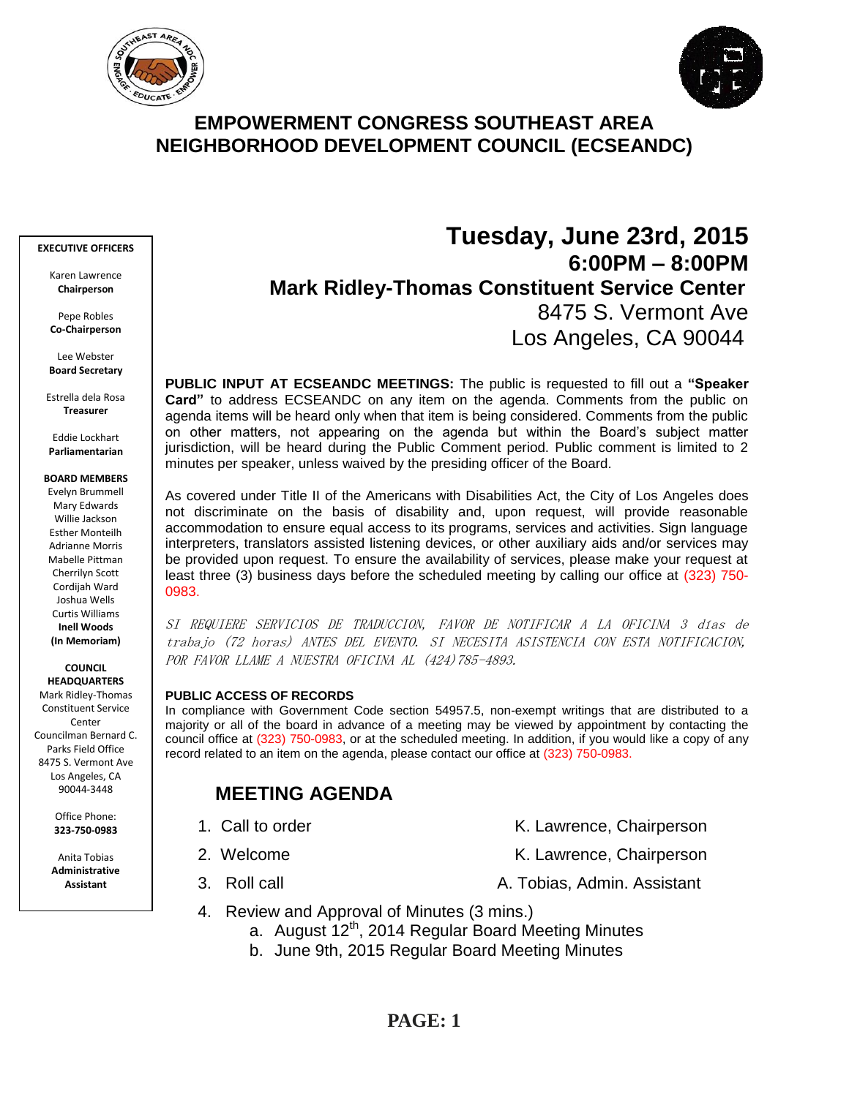



# **EMPOWERMENT CONGRESS SOUTHEAST AREA NEIGHBORHOOD DEVELOPMENT COUNCIL (ECSEANDC)**

#### **EXECUTIVE OFFICERS**

Karen Lawrence **Chairperson**

Pepe Robles **Co-Chairperson**

Lee Webster **Board Secretary**

Estrella dela Rosa **Treasurer**

Eddie Lockhart **Parliamentarian**

#### **BOARD MEMBERS**

Evelyn Brummell Mary Edwards Willie Jackson Esther Monteilh Adrianne Morris Mabelle Pittman Cherrilyn Scott Cordijah Ward Joshua Wells Curtis Williams **Inell Woods (In Memoriam)**

**COUNCIL HEADQUARTERS**

Mark Ridley-Thomas Constituent Service Center Councilman Bernard C. Parks Field Office 8475 S. Vermont Ave Los Angeles, CA 90044-3448

> Office Phone: **323-750-0983**

Anita Tobias **Administrative Assistant**

# **Tuesday, June 23rd, 2015 6:00PM – 8:00PM Mark Ridley-Thomas Constituent Service Center** 8475 S. Vermont Ave Los Angeles, CA 90044

**PUBLIC INPUT AT ECSEANDC MEETINGS:** The public is requested to fill out a **"Speaker Card"** to address ECSEANDC on any item on the agenda. Comments from the public on agenda items will be heard only when that item is being considered. Comments from the public on other matters, not appearing on the agenda but within the Board's subject matter jurisdiction, will be heard during the Public Comment period. Public comment is limited to 2 minutes per speaker, unless waived by the presiding officer of the Board.

As covered under Title II of the Americans with Disabilities Act, the City of Los Angeles does not discriminate on the basis of disability and, upon request, will provide reasonable accommodation to ensure equal access to its programs, services and activities. Sign language interpreters, translators assisted listening devices, or other auxiliary aids and/or services may be provided upon request. To ensure the availability of services, please make your request at least three (3) business days before the scheduled meeting by calling our office at (323) 750- 0983.

SI REQUIERE SERVICIOS DE TRADUCCION, FAVOR DE NOTIFICAR A LA OFICINA 3 días de trabajo (72 horas) ANTES DEL EVENTO. SI NECESITA ASISTENCIA CON ESTA NOTIFICACION, POR FAVOR LLAME A NUESTRA OFICINA AL (424)785-4893.

#### **PUBLIC ACCESS OF RECORDS**

In compliance with Government Code section 54957.5, non-exempt writings that are distributed to a majority or all of the board in advance of a meeting may be viewed by appointment by contacting the council office at (323) 750-0983, or at the scheduled meeting. In addition, if you would like a copy of any record related to an item on the agenda, please contact our office at (323) 750-0983.

# **MEETING AGENDA**

- 
- 
- 
- 1. Call to order The Call to order The Chairperson K. Lawrence, Chairperson
- 2. Welcome **K. Lawrence, Chairperson** 
	-
- 3. Roll call **A. Tobias, Admin. Assistant**
- 4. Review and Approval of Minutes (3 mins.)
	- a. August 12<sup>th</sup>, 2014 Regular Board Meeting Minutes
	- b. June 9th, 2015 Regular Board Meeting Minutes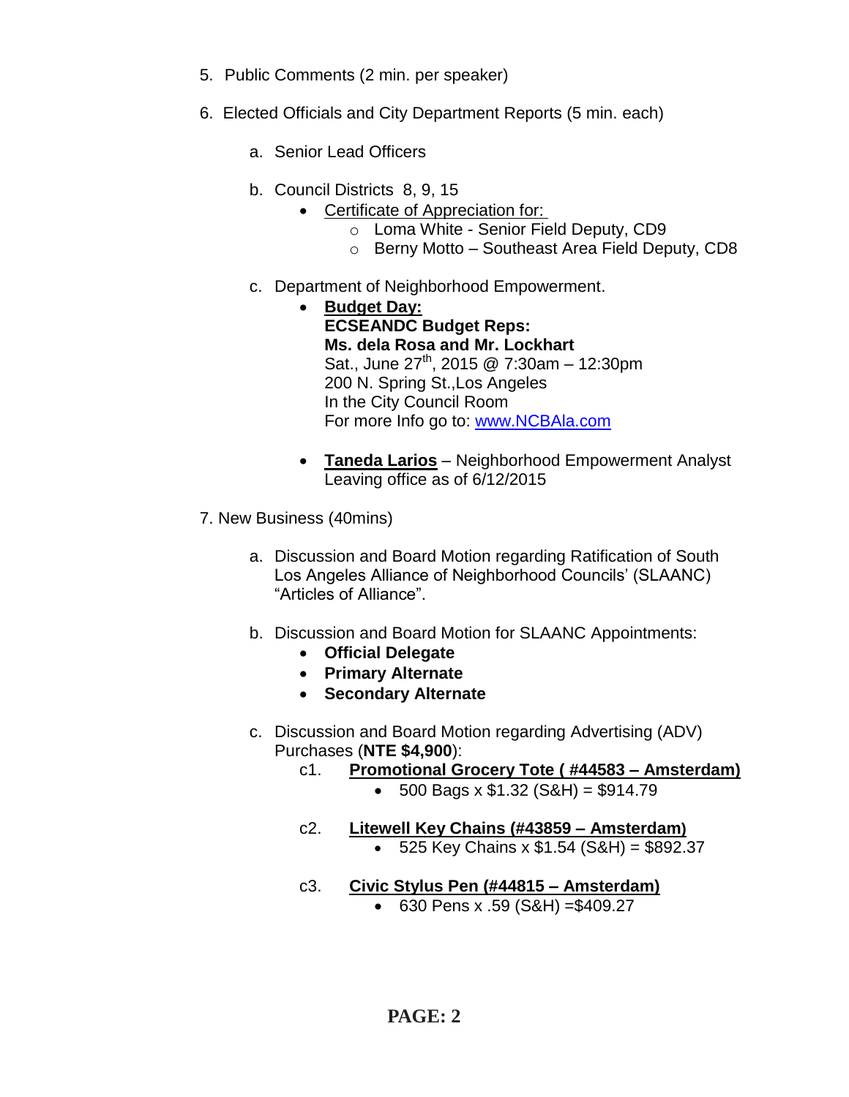- 5. Public Comments (2 min. per speaker)
- 6. Elected Officials and City Department Reports (5 min. each)
	- a. Senior Lead Officers
	- b. Council Districts 8, 9, 15
		- Certificate of Appreciation for:
			- o Loma White Senior Field Deputy, CD9
			- o Berny Motto Southeast Area Field Deputy, CD8
	- c. Department of Neighborhood Empowerment.
		- **Budget Day: ECSEANDC Budget Reps: Ms. dela Rosa and Mr. Lockhart** Sat., June  $27^{th}$ , 2015 @ 7:30am - 12:30pm 200 N. Spring St.,Los Angeles In the City Council Room For more Info go to: [www.NCBAla.com](http://www.ncbala.com/)
		- **Taneda Larios** Neighborhood Empowerment Analyst Leaving office as of 6/12/2015
- 7. New Business (40mins)
	- a. Discussion and Board Motion regarding Ratification of South Los Angeles Alliance of Neighborhood Councils' (SLAANC) "Articles of Alliance".
	- b. Discussion and Board Motion for SLAANC Appointments:
		- **Official Delegate**
		- **Primary Alternate**
		- **Secondary Alternate**
	- c. Discussion and Board Motion regarding Advertising (ADV) Purchases (**NTE \$4,900**):
		- c1. **Promotional Grocery Tote ( #44583 – Amsterdam)**
			- $\bullet$  500 Bags x \$1.32 (S&H) = \$914.79
		- c2. **Litewell Key Chains (#43859 – Amsterdam)**  $-525$  Key Chains x  $$1.54$  (S&H) =  $$892.37$
		- c3. **Civic Stylus Pen (#44815 – Amsterdam)**
			- 630 Pens x .59 (S&H) =\$409.27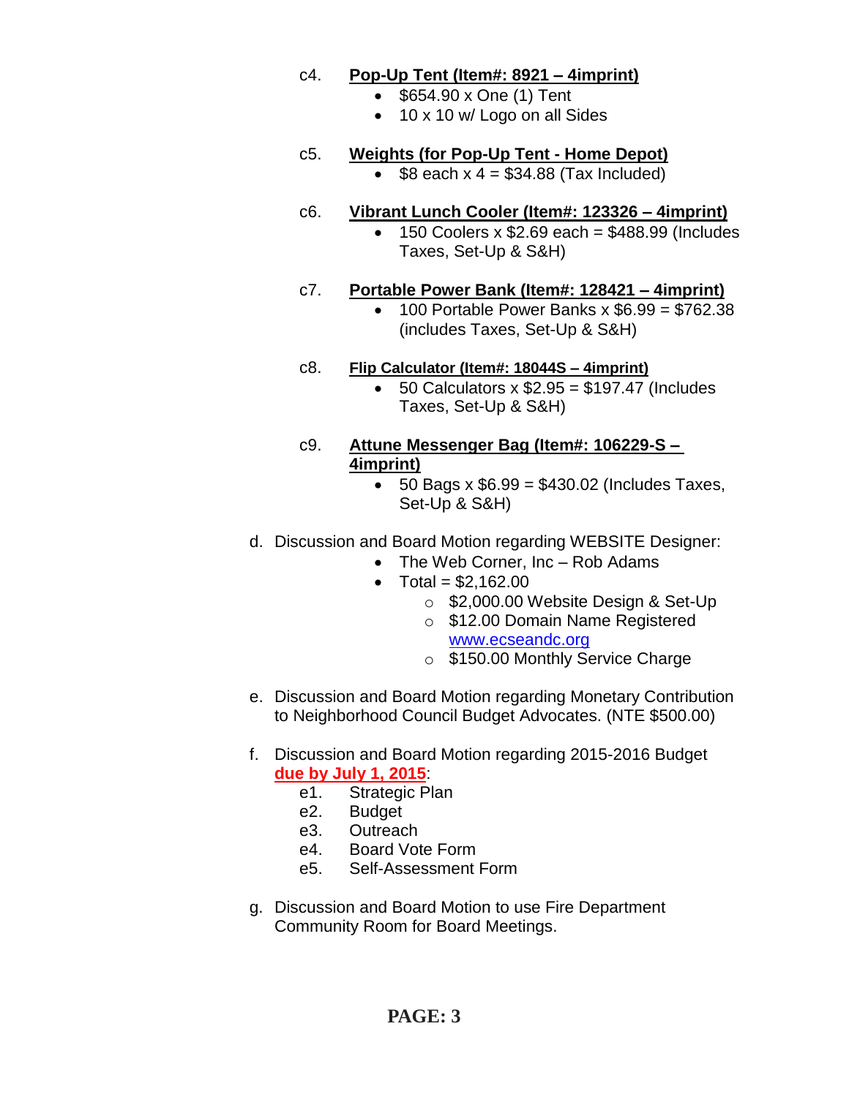### c4. **Pop-Up Tent (Item#: 8921 – 4imprint)**

- \$654.90 x One (1) Tent
- 10 x 10 w/ Logo on all Sides

# c5. **Weights (for Pop-Up Tent - Home Depot)**

 $\bullet$  \$8 each x 4 = \$34.88 (Tax Included)

### c6. **Vibrant Lunch Cooler (Item#: 123326 – 4imprint)**

 150 Coolers x \$2.69 each = \$488.99 (Includes Taxes, Set-Up & S&H)

# c7. **Portable Power Bank (Item#: 128421 – 4imprint)**

 $\bullet$  100 Portable Power Banks x \$6.99 = \$762.38 (includes Taxes, Set-Up & S&H)

### c8. **Flip Calculator (Item#: 18044S – 4imprint)**

 $\bullet$  50 Calculators x  $$2.95 = $197.47$  (Includes Taxes, Set-Up & S&H)

### c9. **Attune Messenger Bag (Item#: 106229-S – 4imprint)**

 $\bullet$  50 Bags x \$6.99 = \$430.02 (Includes Taxes, Set-Up & S&H)

# d. Discussion and Board Motion regarding WEBSITE Designer:

- The Web Corner, Inc Rob Adams
- Total =  $$2.162.00$ 
	- o \$2,000.00 Website Design & Set-Up
	- o \$12.00 Domain Name Registered [www.ecseandc.org](http://www.ecseandc.org/)
	- o \$150.00 Monthly Service Charge
- e. Discussion and Board Motion regarding Monetary Contribution to Neighborhood Council Budget Advocates. (NTE \$500.00)

# f. Discussion and Board Motion regarding 2015-2016 Budget **due by July 1, 2015**:

- e1. Strategic Plan
- e2. Budget
- e3. Outreach
- e4. Board Vote Form
- e5. Self-Assessment Form
- g. Discussion and Board Motion to use Fire Department Community Room for Board Meetings.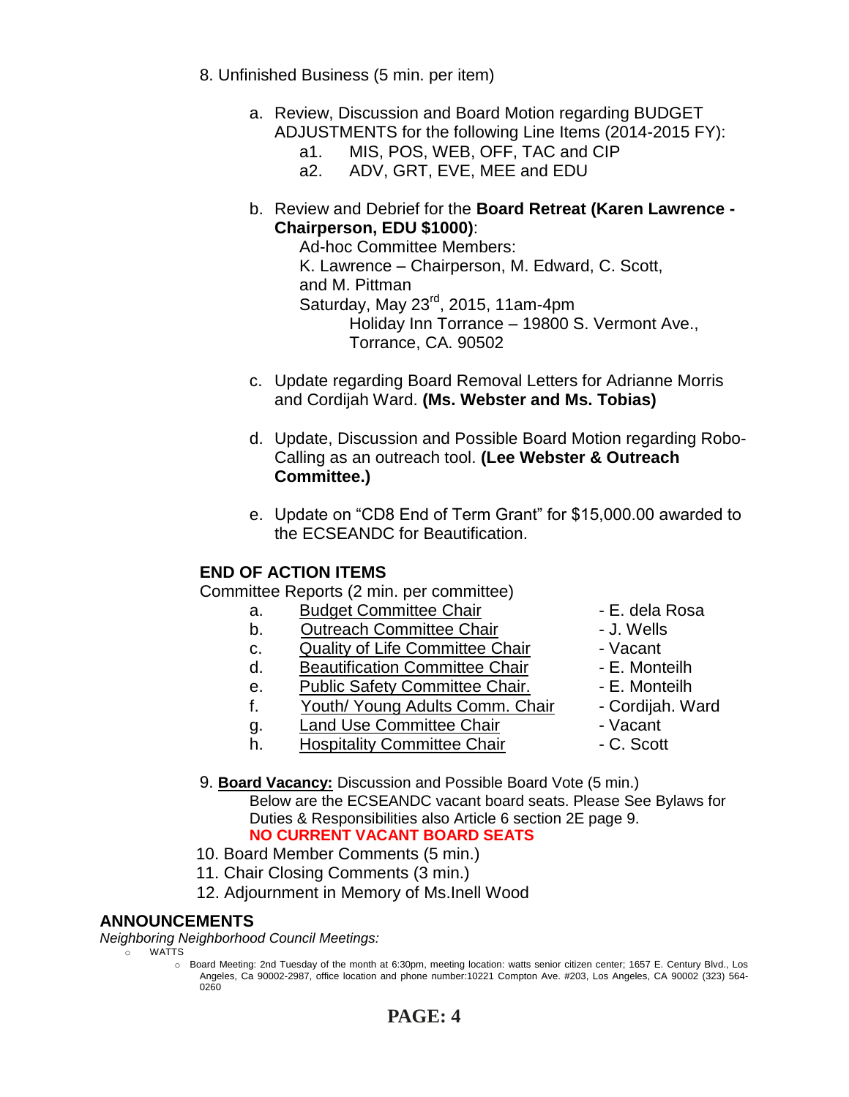- 8. Unfinished Business (5 min. per item)
	- a. Review, Discussion and Board Motion regarding BUDGET ADJUSTMENTS for the following Line Items (2014-2015 FY):
		- a1. MIS, POS, WEB, OFF, TAC and CIP
		- a2. ADV, GRT, EVE, MEE and EDU
	- b. Review and Debrief for the **Board Retreat (Karen Lawrence - Chairperson, EDU \$1000)**:

Ad-hoc Committee Members: K. Lawrence – Chairperson, M. Edward, C. Scott, and M. Pittman Saturday, May 23<sup>rd</sup>, 2015, 11am-4pm Holiday Inn Torrance – 19800 S. Vermont Ave., Torrance, CA. 90502

- c. Update regarding Board Removal Letters for Adrianne Morris and Cordijah Ward. **(Ms. Webster and Ms. Tobias)**
- d. Update, Discussion and Possible Board Motion regarding Robo-Calling as an outreach tool. **(Lee Webster & Outreach Committee.)**
- e. Update on "CD8 End of Term Grant" for \$15,000.00 awarded to the ECSEANDC for Beautification.

# **END OF ACTION ITEMS**

Committee Reports (2 min. per committee)

- a. Budget Committee Chair  **E. dela Rosa**
- b. Outreach Committee Chair **Danisland** J. Wells
- c. Quality of Life Committee Chair Vacant
- d. Beautification Committee Chair Fame E. Monteilh
- e. Public Safety Committee Chair. E. Monteilh
- f. Youth/ Young Adults Comm. Chair Cordijah. Ward
- q. Land Use Committee Chair **1988** Vacant
- h. Hospitality Committee Chair  **C. Scott**
- 
- 
- 
- 
- 
- 
- 
- 
- 9. **Board Vacancy:** Discussion and Possible Board Vote (5 min.) Below are the ECSEANDC vacant board seats. Please See Bylaws for Duties & Responsibilities also Article 6 section 2E page 9. **NO CURRENT VACANT BOARD SEATS**
- 10. Board Member Comments (5 min.)
- 11. Chair Closing Comments (3 min.)
- 12. Adjournment in Memory of Ms.Inell Wood

### **ANNOUNCEMENTS**

*Neighboring Neighborhood Council Meetings:*

o WATTS

o Board Meeting: 2nd Tuesday of the month at 6:30pm, meeting location: watts senior citizen center; 1657 E. Century Blvd., Los Angeles, Ca 90002-2987, office location and phone number:10221 Compton Ave. #203, Los Angeles, CA 90002 (323) 564- 0260